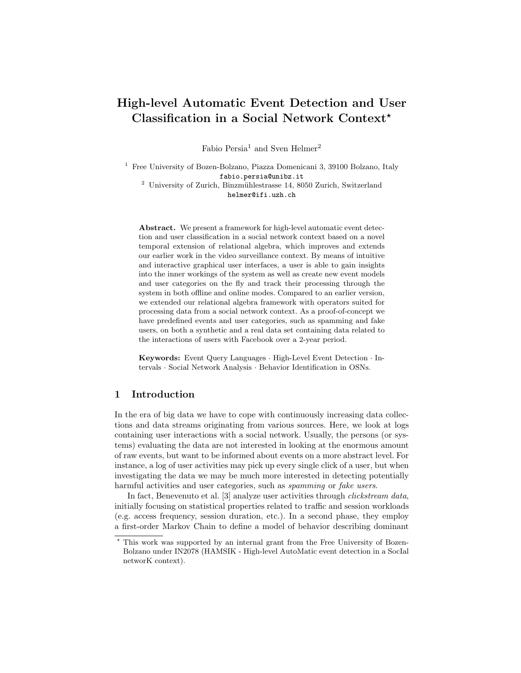# High-level Automatic Event Detection and User Classification in a Social Network Context<sup>\*</sup>

Fabio Persia<sup>1</sup> and Sven Helmer<sup>2</sup>

<sup>1</sup> Free University of Bozen-Bolzano, Piazza Domenicani 3, 39100 Bolzano, Italy fabio.persia@unibz.it  $^2$ University of Zurich, Binzmühlestrasse 14, 8050 Zurich, Switzerland helmer@ifi.uzh.ch

Abstract. We present a framework for high-level automatic event detection and user classification in a social network context based on a novel temporal extension of relational algebra, which improves and extends our earlier work in the video surveillance context. By means of intuitive and interactive graphical user interfaces, a user is able to gain insights into the inner workings of the system as well as create new event models and user categories on the fly and track their processing through the system in both offline and online modes. Compared to an earlier version, we extended our relational algebra framework with operators suited for processing data from a social network context. As a proof-of-concept we have predefined events and user categories, such as spamming and fake users, on both a synthetic and a real data set containing data related to the interactions of users with Facebook over a 2-year period.

Keywords: Event Query Languages · High-Level Event Detection · Intervals · Social Network Analysis · Behavior Identification in OSNs.

## 1 Introduction

In the era of big data we have to cope with continuously increasing data collections and data streams originating from various sources. Here, we look at logs containing user interactions with a social network. Usually, the persons (or systems) evaluating the data are not interested in looking at the enormous amount of raw events, but want to be informed about events on a more abstract level. For instance, a log of user activities may pick up every single click of a user, but when investigating the data we may be much more interested in detecting potentially harmful activities and user categories, such as *spamming* or *fake users*.

In fact, Benevenuto et al. [3] analyze user activities through clickstream data, initially focusing on statistical properties related to traffic and session workloads (e.g. access frequency, session duration, etc.). In a second phase, they employ a first-order Markov Chain to define a model of behavior describing dominant

This work was supported by an internal grant from the Free University of Bozen-Bolzano under IN2078 (HAMSIK - High-level AutoMatic event detection in a SocIal networK context).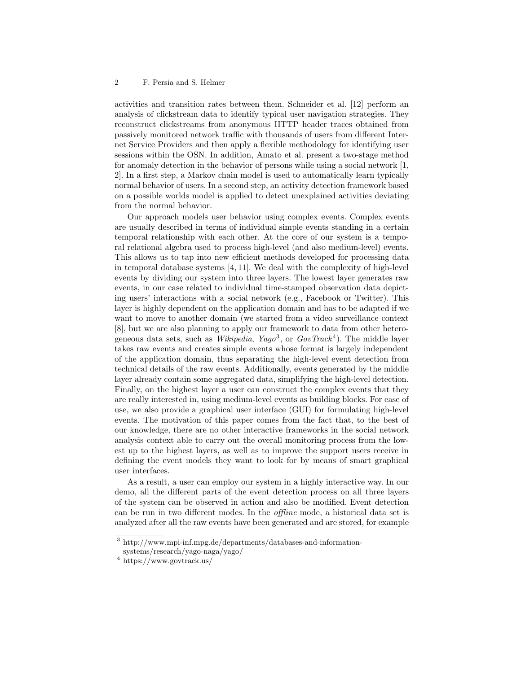activities and transition rates between them. Schneider et al. [12] perform an analysis of clickstream data to identify typical user navigation strategies. They reconstruct clickstreams from anonymous HTTP header traces obtained from passively monitored network traffic with thousands of users from different Internet Service Providers and then apply a flexible methodology for identifying user sessions within the OSN. In addition, Amato et al. present a two-stage method for anomaly detection in the behavior of persons while using a social network [1, 2]. In a first step, a Markov chain model is used to automatically learn typically normal behavior of users. In a second step, an activity detection framework based on a possible worlds model is applied to detect unexplained activities deviating from the normal behavior.

Our approach models user behavior using complex events. Complex events are usually described in terms of individual simple events standing in a certain temporal relationship with each other. At the core of our system is a temporal relational algebra used to process high-level (and also medium-level) events. This allows us to tap into new efficient methods developed for processing data in temporal database systems  $[4, 11]$ . We deal with the complexity of high-level events by dividing our system into three layers. The lowest layer generates raw events, in our case related to individual time-stamped observation data depicting users' interactions with a social network (e.g., Facebook or Twitter). This layer is highly dependent on the application domain and has to be adapted if we want to move to another domain (we started from a video surveillance context [8], but we are also planning to apply our framework to data from other heterogeneous data sets, such as *Wikipedia*, Yago<sup>3</sup>, or  $GovTrack<sup>4</sup>$ ). The middle layer takes raw events and creates simple events whose format is largely independent of the application domain, thus separating the high-level event detection from technical details of the raw events. Additionally, events generated by the middle layer already contain some aggregated data, simplifying the high-level detection. Finally, on the highest layer a user can construct the complex events that they are really interested in, using medium-level events as building blocks. For ease of use, we also provide a graphical user interface (GUI) for formulating high-level events. The motivation of this paper comes from the fact that, to the best of our knowledge, there are no other interactive frameworks in the social network analysis context able to carry out the overall monitoring process from the lowest up to the highest layers, as well as to improve the support users receive in defining the event models they want to look for by means of smart graphical user interfaces.

As a result, a user can employ our system in a highly interactive way. In our demo, all the different parts of the event detection process on all three layers of the system can be observed in action and also be modified. Event detection can be run in two different modes. In the offline mode, a historical data set is analyzed after all the raw events have been generated and are stored, for example

<sup>3</sup> http://www.mpi-inf.mpg.de/departments/databases-and-information-

systems/research/yago-naga/yago/

 $4 \text{ https://www.govtrack.us/}$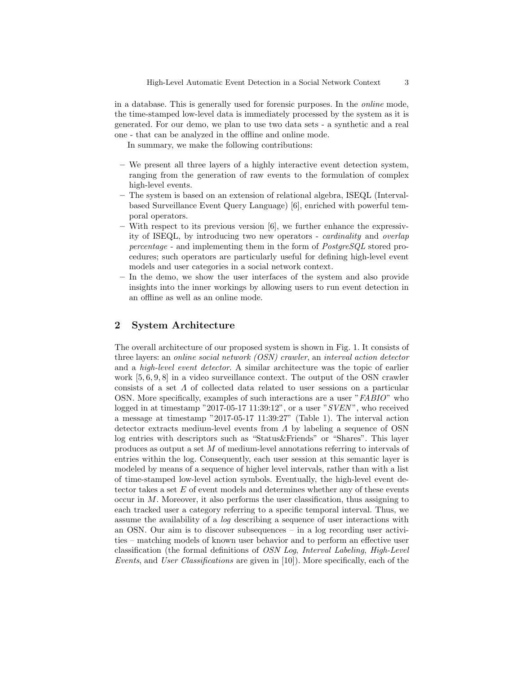in a database. This is generally used for forensic purposes. In the online mode, the time-stamped low-level data is immediately processed by the system as it is generated. For our demo, we plan to use two data sets - a synthetic and a real one - that can be analyzed in the offline and online mode.

In summary, we make the following contributions:

- We present all three layers of a highly interactive event detection system, ranging from the generation of raw events to the formulation of complex high-level events.
- The system is based on an extension of relational algebra, ISEQL (Intervalbased Surveillance Event Query Language) [6], enriched with powerful temporal operators.
- With respect to its previous version [6], we further enhance the expressivity of ISEQL, by introducing two new operators - cardinality and overlap percentage - and implementing them in the form of PostgreSQL stored procedures; such operators are particularly useful for defining high-level event models and user categories in a social network context.
- In the demo, we show the user interfaces of the system and also provide insights into the inner workings by allowing users to run event detection in an offline as well as an online mode.

## 2 System Architecture

The overall architecture of our proposed system is shown in Fig. 1. It consists of three layers: an online social network (OSN) crawler, an interval action detector and a high-level event detector. A similar architecture was the topic of earlier work [5, 6, 9, 8] in a video surveillance context. The output of the OSN crawler consists of a set Λ of collected data related to user sessions on a particular OSN. More specifically, examples of such interactions are a user "FABIO" who logged in at timestamp  $"2017-05-1711:39:12"$ , or a user  $"SVEN"$ , who received a message at timestamp "2017-05-17 11:39:27" (Table 1). The interval action detector extracts medium-level events from Λ by labeling a sequence of OSN log entries with descriptors such as "Status&Friends" or "Shares". This layer produces as output a set M of medium-level annotations referring to intervals of entries within the log. Consequently, each user session at this semantic layer is modeled by means of a sequence of higher level intervals, rather than with a list of time-stamped low-level action symbols. Eventually, the high-level event detector takes a set  $E$  of event models and determines whether any of these events occur in  $M$ . Moreover, it also performs the user classification, thus assigning to each tracked user a category referring to a specific temporal interval. Thus, we assume the availability of a log describing a sequence of user interactions with an OSN. Our aim is to discover subsequences – in a log recording user activities – matching models of known user behavior and to perform an effective user classification (the formal definitions of OSN Log, Interval Labeling, High-Level Events, and User Classifications are given in [10]). More specifically, each of the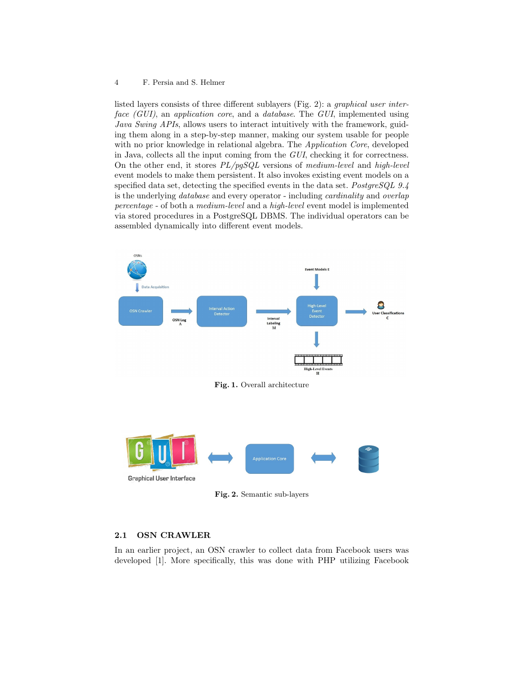listed layers consists of three different sublayers (Fig. 2): a graphical user interface (GUI), an application core, and a database. The GUI, implemented using Java Swing APIs, allows users to interact intuitively with the framework, guiding them along in a step-by-step manner, making our system usable for people with no prior knowledge in relational algebra. The Application Core, developed in Java, collects all the input coming from the GUI, checking it for correctness. On the other end, it stores  $PL/pgSQL$  versions of medium-level and high-level event models to make them persistent. It also invokes existing event models on a specified data set, detecting the specified events in the data set. PostgreSQL  $9.4$ is the underlying database and every operator - including cardinality and overlap percentage - of both a medium-level and a high-level event model is implemented via stored procedures in a PostgreSQL DBMS. The individual operators can be assembled dynamically into different event models.



Fig. 1. Overall architecture



Fig. 2. Semantic sub-layers

#### 2.1 OSN CRAWLER

In an earlier project, an OSN crawler to collect data from Facebook users was developed [1]. More specifically, this was done with PHP utilizing Facebook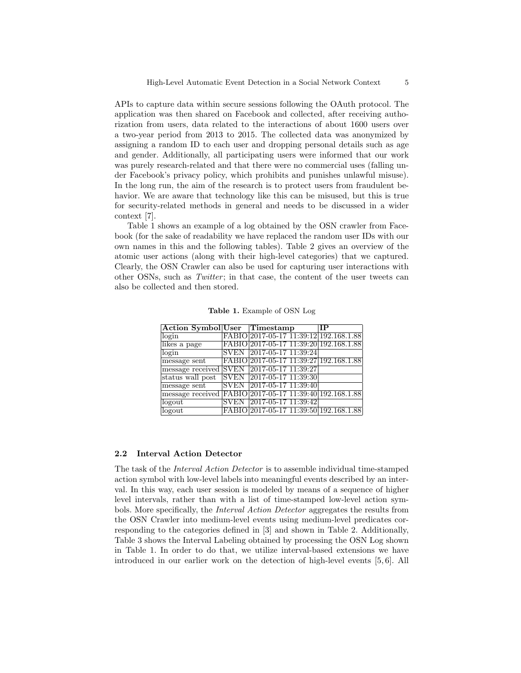APIs to capture data within secure sessions following the OAuth protocol. The application was then shared on Facebook and collected, after receiving authorization from users, data related to the interactions of about 1600 users over a two-year period from 2013 to 2015. The collected data was anonymized by assigning a random ID to each user and dropping personal details such as age and gender. Additionally, all participating users were informed that our work was purely research-related and that there were no commercial uses (falling under Facebook's privacy policy, which prohibits and punishes unlawful misuse). In the long run, the aim of the research is to protect users from fraudulent behavior. We are aware that technology like this can be misused, but this is true for security-related methods in general and needs to be discussed in a wider context [7].

Table 1 shows an example of a log obtained by the OSN crawler from Facebook (for the sake of readability we have replaced the random user IDs with our own names in this and the following tables). Table 2 gives an overview of the atomic user actions (along with their high-level categories) that we captured. Clearly, the OSN Crawler can also be used for capturing user interactions with other OSNs, such as *Twitter*; in that case, the content of the user tweets can also be collected and then stored.

| Action Symbol User Timestamp |                                                         | ΤP |
|------------------------------|---------------------------------------------------------|----|
| login                        | FABIO 2017-05-17 11:39:12 192.168.1.88                  |    |
| likes a page                 | FABIO 2017-05-17 11:39:20 192.168.1.88                  |    |
| login                        | SVEN 2017-05-17 11:39:24                                |    |
| message sent                 | FABIO 2017-05-17 11:39:27 192.168.1.88                  |    |
|                              | message received SVEN 2017-05-17 11:39:27               |    |
| status wall post             | SVEN 2017-05-17 11:39:30                                |    |
| message sent                 | SVEN 2017-05-17 11:39:40                                |    |
|                              | message received FABIO 2017-05-17 11:39:40 192.168.1.88 |    |
| logout                       | SVEN 2017-05-17 11:39:42                                |    |
| logout                       | FABIO 2017-05-17 11:39:50 192.168.1.88                  |    |

Table 1. Example of OSN Log

## 2.2 Interval Action Detector

The task of the Interval Action Detector is to assemble individual time-stamped action symbol with low-level labels into meaningful events described by an interval. In this way, each user session is modeled by means of a sequence of higher level intervals, rather than with a list of time-stamped low-level action symbols. More specifically, the Interval Action Detector aggregates the results from the OSN Crawler into medium-level events using medium-level predicates corresponding to the categories defined in [3] and shown in Table 2. Additionally, Table 3 shows the Interval Labeling obtained by processing the OSN Log shown in Table 1. In order to do that, we utilize interval-based extensions we have introduced in our earlier work on the detection of high-level events [5, 6]. All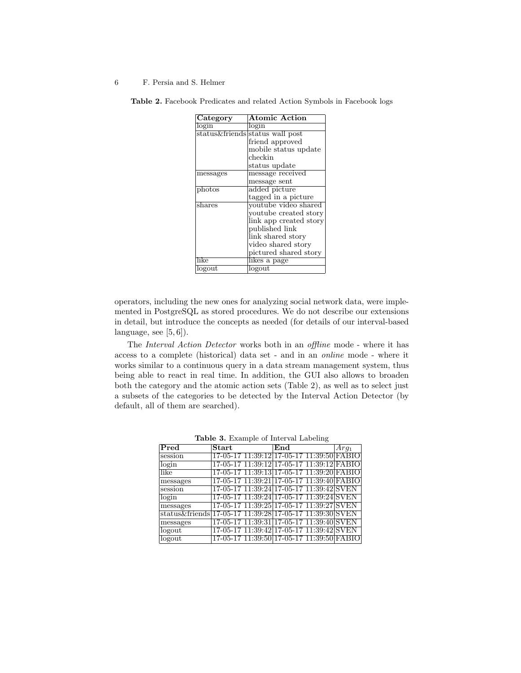|          | <b>Atomic Action</b>            |
|----------|---------------------------------|
| Category |                                 |
| login    | login                           |
|          | status&friends status wall post |
|          | friend approved                 |
|          | mobile status update            |
|          | $_{\rm checkin}$                |
|          | status update                   |
| messages | message received                |
|          | message sent                    |
| photos   | added picture                   |
|          | tagged in a picture             |
| shares   | youtube video shared            |
|          | youtube created story           |
|          | link app created story          |
|          | published link                  |
|          | link shared story               |
|          | video shared story              |
|          | pictured shared story           |
| like     | likes a page                    |
| logout   | logout                          |

Table 2. Facebook Predicates and related Action Symbols in Facebook logs

operators, including the new ones for analyzing social network data, were implemented in PostgreSQL as stored procedures. We do not describe our extensions in detail, but introduce the concepts as needed (for details of our interval-based language, see  $[5, 6]$ .

The Interval Action Detector works both in an offline mode - where it has access to a complete (historical) data set - and in an online mode - where it works similar to a continuous query in a data stream management system, thus being able to react in real time. In addition, the GUI also allows to broaden both the category and the atomic action sets (Table 2), as well as to select just a subsets of the categories to be detected by the Interval Action Detector (by default, all of them are searched).

| $\overline{\mathrm{Pred}}$ | <b>Start</b>                                            | $\boldsymbol{\mathrm{End}}$               | $Arg_1$ |
|----------------------------|---------------------------------------------------------|-------------------------------------------|---------|
| session                    |                                                         | 17-05-17 11:39:12 17-05-17 11:39:50 FABIO |         |
| login                      |                                                         | 17-05-17 11:39:12 17-05-17 11:39:12 FABIO |         |
| like                       |                                                         | 17-05-17 11:39:13 17-05-17 11:39:20 FABIO |         |
| messages                   |                                                         | 17-05-17 11:39:21 17-05-17 11:39:40 FABIO |         |
| session                    |                                                         | 17-05-17 11:39:24 17-05-17 11:39:42 SVEN  |         |
| login                      |                                                         | 17-05-17 11:39:24 17-05-17 11:39:24 SVEN  |         |
| messages                   |                                                         | 17-05-17 11:39:25 17-05-17 11:39:27 SVEN  |         |
|                            | status&friends 17-05-17 11:39:28 17-05-17 11:39:30 SVEN |                                           |         |
| messages                   |                                                         | 17-05-17 11:39:31 17-05-17 11:39:40 SVEN  |         |
| logout                     |                                                         | 17-05-17 11:39:42 17-05-17 11:39:42 SVEN  |         |
| logout                     |                                                         | 17-05-17 11:39:50 17-05-17 11:39:50 FABIO |         |

Table 3. Example of Interval Labeling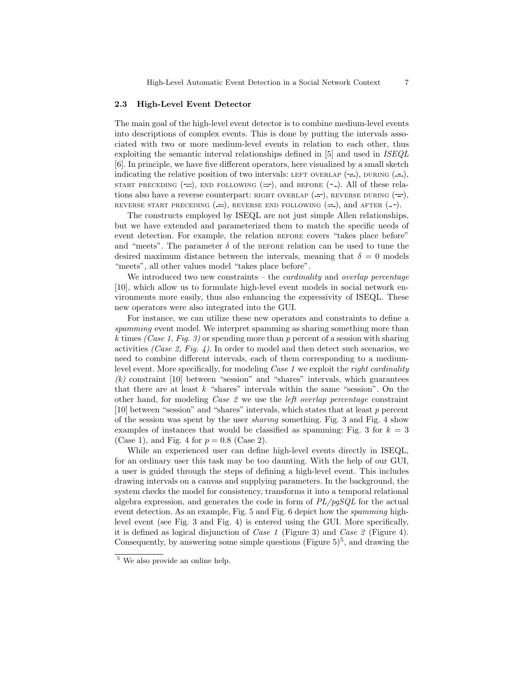#### 2.3 High-Level Event Detector

The main goal of the high-level event detector is to combine medium-level events into descriptions of complex events. This is done by putting the intervals associated with two or more medium-level events in relation to each other, thus exploiting the semantic interval relationships defined in  $[5]$  and used in  $ISEQL$ [6]. In principle, we have five different operators, here visualized by a small sketch indicating the relative position of two intervals: LEFT OVERLAP  $(\pm)$ , DURING  $(\pm)$ , START PRECEDING  $(\equiv)$ , END FOLLOWING  $(\equiv)$ , and BEFORE  $(\neg)$ . All of these relations also have a reverse counterpart: RIGHT OVERLAP  $(\pm)$ , REVERSE DURING  $(\pm)$ , REVERSE START PRECEDING  $(\equiv)$ , REVERSE END FOLLOWING  $(\equiv)$ , and AFTER  $(\rightarrow)$ .

The constructs employed by ISEQL are not just simple Allen relationships, but we have extended and parameterized them to match the specific needs of event detection. For example, the relation before covers "takes place before" and "meets". The parameter  $\delta$  of the before relation can be used to tune the desired maximum distance between the intervals, meaning that  $\delta = 0$  models "meets", all other values model "takes place before".

We introduced two new constraints – the *cardinality* and *overlap percentage* [10], which allow us to formulate high-level event models in social network environments more easily, thus also enhancing the expressivity of ISEQL. These new operators were also integrated into the GUI.

For instance, we can utilize these new operators and constraints to define a spamming event model. We interpret spamming as sharing something more than k times (Case 1, Fig. 3) or spending more than p percent of a session with sharing activities (Case 2, Fig. 4). In order to model and then detect such scenarios, we need to combine different intervals, each of them corresponding to a mediumlevel event. More specifically, for modeling Case 1 we exploit the right cardinality  $(k)$  constraint [10] between "session" and "shares" intervals, which guarantees that there are at least  $k$  "shares" intervals within the same "session". On the other hand, for modeling Case 2 we use the left overlap percentage constraint [10] between "session" and "shares" intervals, which states that at least p percent of the session was spent by the user sharing something. Fig. 3 and Fig. 4 show examples of instances that would be classified as spamming: Fig. 3 for  $k = 3$ (Case 1), and Fig. 4 for  $p = 0.8$  (Case 2).

While an experienced user can define high-level events directly in ISEQL, for an ordinary user this task may be too daunting. With the help of our GUI, a user is guided through the steps of defining a high-level event. This includes drawing intervals on a canvas and supplying parameters. In the background, the system checks the model for consistency, transforms it into a temporal relational algebra expression, and generates the code in form of  $PL/pgSQL$  for the actual event detection. As an example, Fig. 5 and Fig. 6 depict how the spamming highlevel event (see Fig. 3 and Fig. 4) is entered using the GUI. More specifically, it is defined as logical disjunction of Case 1 (Figure 3) and Case 2 (Figure 4). Consequently, by answering some simple questions (Figure  $5)^5$ , and drawing the

 $\overline{5}$  We also provide an online help.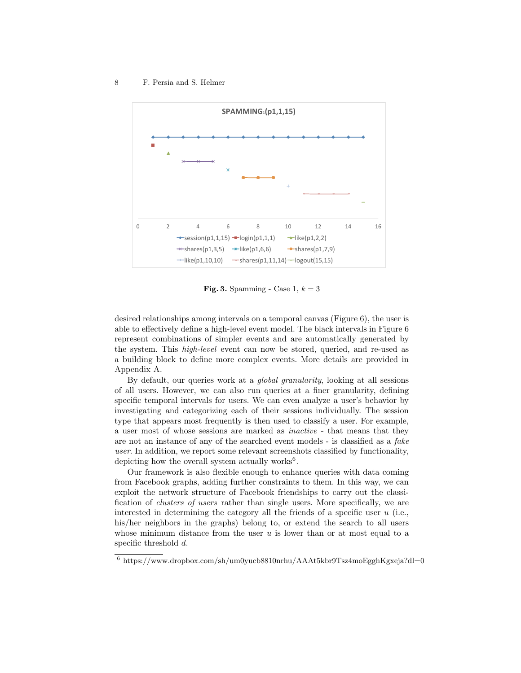

Fig. 3. Spamming - Case 1,  $k = 3$ 

desired relationships among intervals on a temporal canvas (Figure 6), the user is able to effectively define a high-level event model. The black intervals in Figure 6 represent combinations of simpler events and are automatically generated by the system. This high-level event can now be stored, queried, and re-used as a building block to define more complex events. More details are provided in Appendix A.

By default, our queries work at a global granularity, looking at all sessions of all users. However, we can also run queries at a finer granularity, defining specific temporal intervals for users. We can even analyze a user's behavior by investigating and categorizing each of their sessions individually. The session type that appears most frequently is then used to classify a user. For example, a user most of whose sessions are marked as inactive - that means that they are not an instance of any of the searched event models - is classified as a fake user. In addition, we report some relevant screenshots classified by functionality, depicting how the overall system actually works<sup>6</sup>.

Our framework is also flexible enough to enhance queries with data coming from Facebook graphs, adding further constraints to them. In this way, we can exploit the network structure of Facebook friendships to carry out the classification of clusters of users rather than single users. More specifically, we are interested in determining the category all the friends of a specific user  $u$  (i.e., his/her neighbors in the graphs) belong to, or extend the search to all users whose minimum distance from the user  $u$  is lower than or at most equal to a specific threshold d.

 $6$  https://www.dropbox.com/sh/um0yucb8810nrhu/AAAt5kbr9Tsz4moEgghKgxeja?dl=0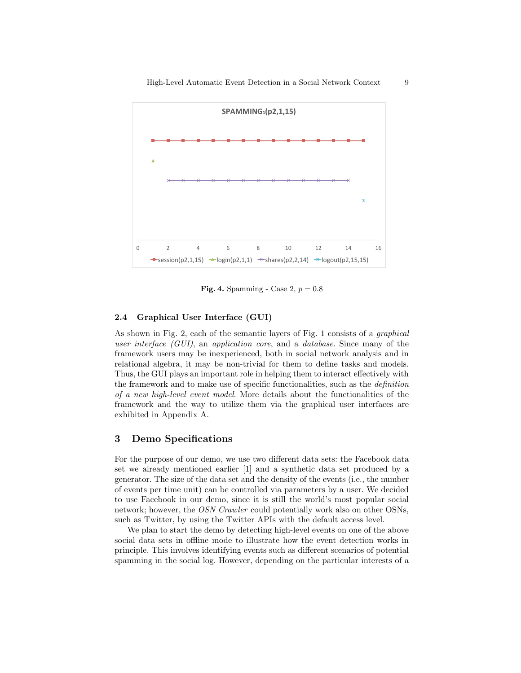

Fig. 4. Spamming - Case 2,  $p = 0.8$ 

## 2.4 Graphical User Interface (GUI)

As shown in Fig. 2, each of the semantic layers of Fig. 1 consists of a graphical user interface  $(GUI)$ , an application core, and a database. Since many of the framework users may be inexperienced, both in social network analysis and in relational algebra, it may be non-trivial for them to define tasks and models. Thus, the GUI plays an important role in helping them to interact effectively with the framework and to make use of specific functionalities, such as the definition of a new high-level event model. More details about the functionalities of the framework and the way to utilize them via the graphical user interfaces are exhibited in Appendix A.

## 3 Demo Specifications

For the purpose of our demo, we use two different data sets: the Facebook data set we already mentioned earlier [1] and a synthetic data set produced by a generator. The size of the data set and the density of the events (i.e., the number of events per time unit) can be controlled via parameters by a user. We decided to use Facebook in our demo, since it is still the world's most popular social network; however, the OSN Crawler could potentially work also on other OSNs, such as Twitter, by using the Twitter APIs with the default access level.

We plan to start the demo by detecting high-level events on one of the above social data sets in offline mode to illustrate how the event detection works in principle. This involves identifying events such as different scenarios of potential spamming in the social log. However, depending on the particular interests of a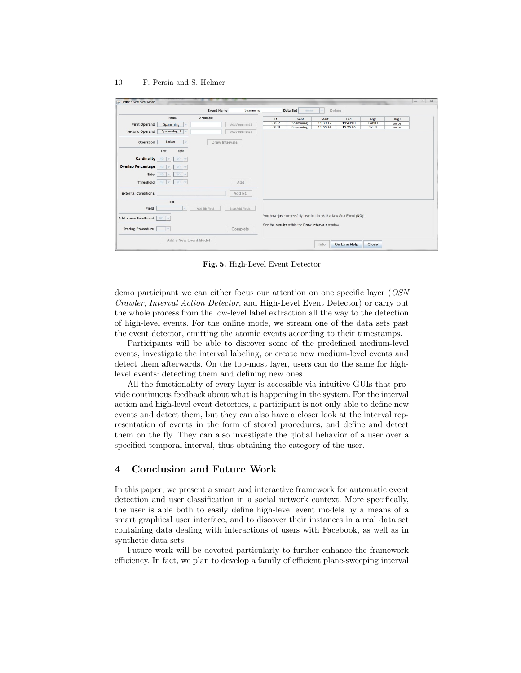| Define a New Event Model   |                                |                   |                 |                |                                                                   |                      |                      |                             |                  | $\Box$ |
|----------------------------|--------------------------------|-------------------|-----------------|----------------|-------------------------------------------------------------------|----------------------|----------------------|-----------------------------|------------------|--------|
|                            |                                | <b>Event Name</b> | Spamming        |                | Data Set<br>unina                                                 | w<br>Define          |                      |                             |                  |        |
|                            | Name                           | Argument          |                 | ID             | Event                                                             | Start                | End                  | Arg1                        | Arg <sub>2</sub> |        |
| <b>First Operand</b>       | Spamming                       |                   | Add Argument 3  | 33862<br>33863 | Spamming<br>Spamming                                              | 11:39:12<br>11:39:24 | 19:40:00<br>15:20:00 | <b>FABIO</b><br><b>SVEN</b> | unibz<br>unibz   |        |
| <b>Second Operand</b>      | Spamming_2                     |                   | Add Argument 3  |                |                                                                   |                      |                      |                             |                  |        |
| Operation                  | Union                          | Draw Intervals    |                 |                |                                                                   |                      |                      |                             |                  |        |
|                            | Left<br>Right                  |                   |                 |                |                                                                   |                      |                      |                             |                  |        |
| Cardinality                | $NO$ $\rightarrow$<br>NO.      |                   |                 |                |                                                                   |                      |                      |                             |                  |        |
| <b>Overlap Percentage</b>  | NO<br>$\overline{\phantom{a}}$ |                   |                 |                |                                                                   |                      |                      |                             |                  |        |
| Side                       | NO.                            |                   |                 |                |                                                                   |                      |                      |                             |                  |        |
| Threshold                  | NO<br>÷                        |                   | Add             |                |                                                                   |                      |                      |                             |                  |        |
| <b>External Conditions</b> |                                |                   | Add EC          |                |                                                                   |                      |                      |                             |                  |        |
|                            | 5th                            |                   |                 |                |                                                                   |                      |                      |                             |                  |        |
| Field                      | $\sim$                         | Add 5th Field     | Stop Add Fields |                |                                                                   |                      |                      |                             |                  |        |
| Add a new Sub-Event   NO   | $\rightarrow$                  |                   |                 |                | You have just successfully inserted the Add a New Sub-Event (NO)! |                      |                      |                             |                  |        |
|                            |                                |                   |                 |                | See the results within the Draw Intervals window.                 |                      |                      |                             |                  |        |
| <b>Storing Procedure</b>   | $\sim$                         |                   | Complete        |                |                                                                   |                      |                      |                             |                  |        |
|                            | Add a New Event Model          |                   |                 |                |                                                                   |                      |                      |                             |                  |        |
|                            |                                |                   |                 |                |                                                                   | Info                 | On Line Help         | Close                       |                  |        |

Fig. 5. High-Level Event Detector

demo participant we can either focus our attention on one specific layer (OSN Crawler, Interval Action Detector, and High-Level Event Detector) or carry out the whole process from the low-level label extraction all the way to the detection of high-level events. For the online mode, we stream one of the data sets past the event detector, emitting the atomic events according to their timestamps.

Participants will be able to discover some of the predefined medium-level events, investigate the interval labeling, or create new medium-level events and detect them afterwards. On the top-most layer, users can do the same for highlevel events: detecting them and defining new ones.

All the functionality of every layer is accessible via intuitive GUIs that provide continuous feedback about what is happening in the system. For the interval action and high-level event detectors, a participant is not only able to define new events and detect them, but they can also have a closer look at the interval representation of events in the form of stored procedures, and define and detect them on the fly. They can also investigate the global behavior of a user over a specified temporal interval, thus obtaining the category of the user.

# 4 Conclusion and Future Work

In this paper, we present a smart and interactive framework for automatic event detection and user classification in a social network context. More specifically, the user is able both to easily define high-level event models by a means of a smart graphical user interface, and to discover their instances in a real data set containing data dealing with interactions of users with Facebook, as well as in synthetic data sets.

Future work will be devoted particularly to further enhance the framework efficiency. In fact, we plan to develop a family of efficient plane-sweeping interval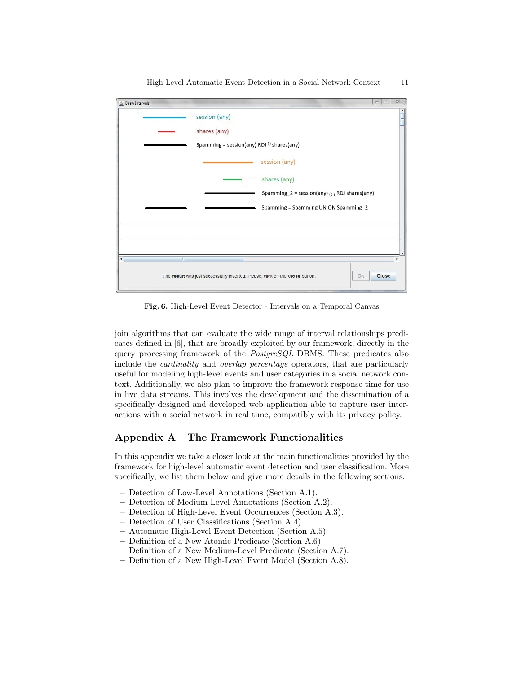

#### High-Level Automatic Event Detection in a Social Network Context 11

Fig. 6. High-Level Event Detector - Intervals on a Temporal Canvas

join algorithms that can evaluate the wide range of interval relationships predicates defined in [6], that are broadly exploited by our framework, directly in the query processing framework of the *PostgreSQL* DBMS. These predicates also include the cardinality and overlap percentage operators, that are particularly useful for modeling high-level events and user categories in a social network context. Additionally, we also plan to improve the framework response time for use in live data streams. This involves the development and the dissemination of a specifically designed and developed web application able to capture user interactions with a social network in real time, compatibly with its privacy policy.

# Appendix A The Framework Functionalities

In this appendix we take a closer look at the main functionalities provided by the framework for high-level automatic event detection and user classification. More specifically, we list them below and give more details in the following sections.

- Detection of Low-Level Annotations (Section A.1).
- Detection of Medium-Level Annotations (Section A.2).
- Detection of High-Level Event Occurrences (Section A.3).
- Detection of User Classifications (Section A.4).
- Automatic High-Level Event Detection (Section A.5).
- Definition of a New Atomic Predicate (Section A.6).
- Definition of a New Medium-Level Predicate (Section A.7).
- Definition of a New High-Level Event Model (Section A.8).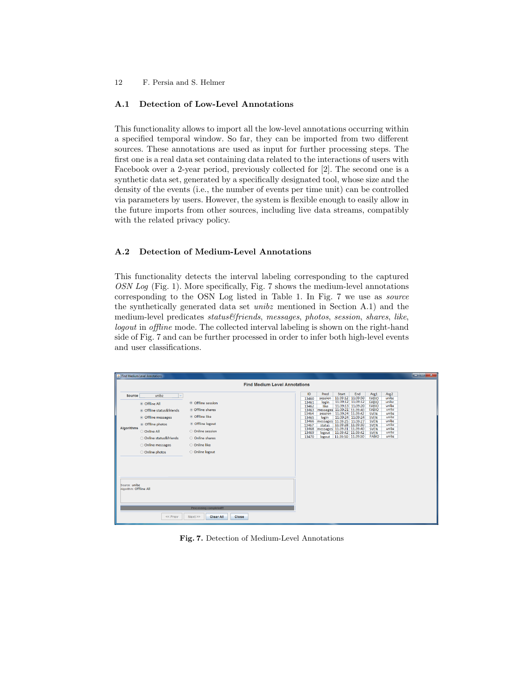## A.1 Detection of Low-Level Annotations

This functionality allows to import all the low-level annotations occurring within a specified temporal window. So far, they can be imported from two different sources. These annotations are used as input for further processing steps. The first one is a real data set containing data related to the interactions of users with Facebook over a 2-year period, previously collected for [2]. The second one is a synthetic data set, generated by a specifically designated tool, whose size and the density of the events (i.e., the number of events per time unit) can be controlled via parameters by users. However, the system is flexible enough to easily allow in the future imports from other sources, including live data streams, compatibly with the related privacy policy.

## A.2 Detection of Medium-Level Annotations

This functionality detects the interval labeling corresponding to the captured OSN Log (Fig. 1). More specifically, Fig. 7 shows the medium-level annotations corresponding to the OSN Log listed in Table 1. In Fig. 7 we use as source the synthetically generated data set unibz mentioned in Section A.1) and the medium-level predicates status&friends, messages, photos, session, shares, like, logout in offline mode. The collected interval labeling is shown on the right-hand side of Fig. 7 and can be further processed in order to infer both high-level events and user classifications.

| & Find Medium Level Annotations                                                                                                                                                                                     |                                                                                                                                                        | $  x$                                                                                                                                                                                                                                                                                                                                                                                                                                                                                                                                                                                                                                                                                                                                                                               |
|---------------------------------------------------------------------------------------------------------------------------------------------------------------------------------------------------------------------|--------------------------------------------------------------------------------------------------------------------------------------------------------|-------------------------------------------------------------------------------------------------------------------------------------------------------------------------------------------------------------------------------------------------------------------------------------------------------------------------------------------------------------------------------------------------------------------------------------------------------------------------------------------------------------------------------------------------------------------------------------------------------------------------------------------------------------------------------------------------------------------------------------------------------------------------------------|
|                                                                                                                                                                                                                     |                                                                                                                                                        | <b>Find Medium Level Annotations</b>                                                                                                                                                                                                                                                                                                                                                                                                                                                                                                                                                                                                                                                                                                                                                |
| unibz<br>Source<br>÷<br>© Offline All<br>@ Offline status&friends<br>© Offline messages<br>© Offline photos<br><b>Algorithms</b><br>O Online All<br>O Online status&friends<br>O Online messages<br>O Online photos | © Offline session<br>© Offline shares<br>© Offline like<br>© Offline logout<br>O Online session<br>O Online shares<br>○ Online like<br>O Online logout | End<br>ID<br>Pred<br>Start<br>Arg1<br>Arg <sub>2</sub><br>11:39:12 11:39:50<br>session<br>unibz<br><b>FABIO</b><br>13460<br>11:39:12 11:39:12<br>unibz<br><b>FABIO</b><br>13461<br>login<br>unibz<br>11:39:13 11:39:20<br><b>FABIO</b><br>13462<br>like<br>unibz<br>messages 11:39:21 11:39:40<br><b>FABIO</b><br>13463<br>unibz<br>session<br>11:39:24 11:39:42<br>13464<br><b>SVEN</b><br>unibz<br>13465<br>11:39:24 11:39:24<br>login<br><b>SVEN</b><br>unibz<br>13466 messages 11:39:25 11:39:27<br><b>SVEN</b><br>11:39:28 11:39:30<br>unibz<br>13467<br><b>SVEN</b><br>status<br>messages 11:39:31 11:39:40<br>13468<br>unibz<br><b>SVEN</b><br>unibz<br>13469<br>11:39:42 11:39:42<br><b>SVEN</b><br>logout<br><b>FABIO</b><br>unibz<br>11:39:50 11:39:50<br>13470<br>logout |
| Source: unibz<br>Algorithm: Offline All<br><< Prev                                                                                                                                                                  | Processing completed!!!<br><b>Clear All</b><br>$Next$ $>$<br><b>Close</b>                                                                              |                                                                                                                                                                                                                                                                                                                                                                                                                                                                                                                                                                                                                                                                                                                                                                                     |

Fig. 7. Detection of Medium-Level Annotations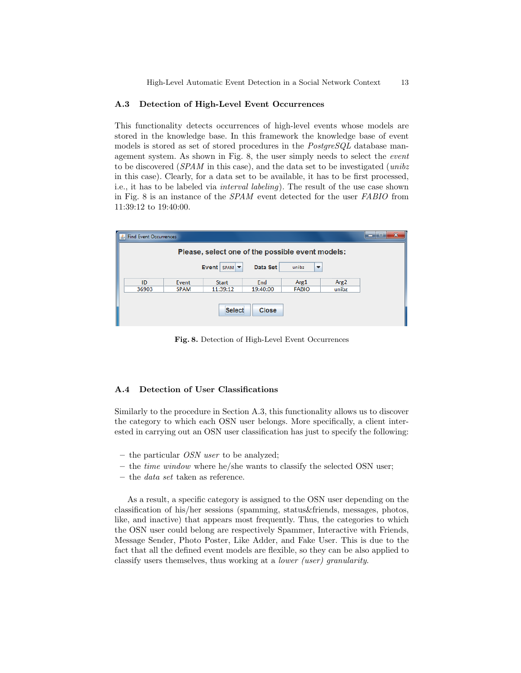#### A.3 Detection of High-Level Event Occurrences

This functionality detects occurrences of high-level events whose models are stored in the knowledge base. In this framework the knowledge base of event models is stored as set of stored procedures in the *PostgreSQL* database management system. As shown in Fig. 8, the user simply needs to select the event to be discovered ( $SPAM$  in this case), and the data set to be investigated (*unibz* in this case). Clearly, for a data set to be available, it has to be first processed, i.e., it has to be labeled via interval labeling). The result of the use case shown in Fig. 8 is an instance of the SPAM event detected for the user FABIO from 11:39:12 to 19:40:00.



Fig. 8. Detection of High-Level Event Occurrences

#### A.4 Detection of User Classifications

Similarly to the procedure in Section A.3, this functionality allows us to discover the category to which each OSN user belongs. More specifically, a client interested in carrying out an OSN user classification has just to specify the following:

- the particular OSN user to be analyzed;
- the *time window* where he/she wants to classify the selected OSN user;
- the data set taken as reference.

As a result, a specific category is assigned to the OSN user depending on the classification of his/her sessions (spamming, status&friends, messages, photos, like, and inactive) that appears most frequently. Thus, the categories to which the OSN user could belong are respectively Spammer, Interactive with Friends, Message Sender, Photo Poster, Like Adder, and Fake User. This is due to the fact that all the defined event models are flexible, so they can be also applied to classify users themselves, thus working at a lower (user) granularity.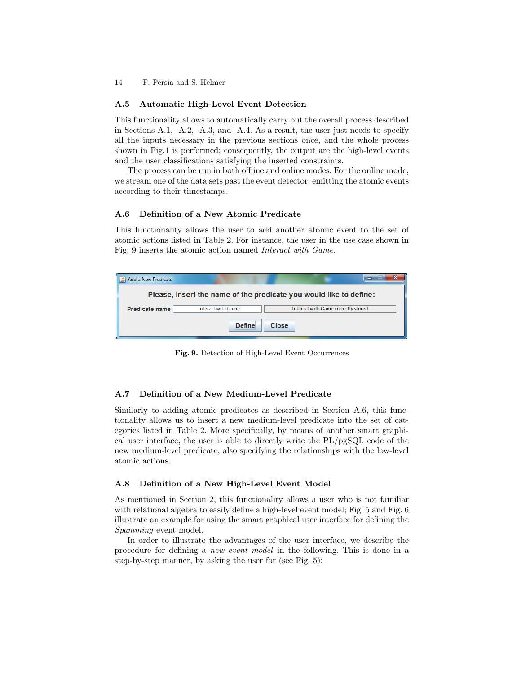#### A.5 Automatic High-Level Event Detection

This functionality allows to automatically carry out the overall process described in Sections A.1, A.2, A.3, and A.4. As a result, the user just needs to specify all the inputs necessary in the previous sections once, and the whole process shown in Fig.1 is performed; consequently, the output are the high-level events and the user classifications satisfying the inserted constraints.

The process can be run in both offline and online modes. For the online mode, we stream one of the data sets past the event detector, emitting the atomic events according to their timestamps.

#### A.6 Definition of a New Atomic Predicate

This functionality allows the user to add another atomic event to the set of atomic actions listed in Table 2. For instance, the user in the use case shown in Fig. 9 inserts the atomic action named Interact with Game.

| Add a New Predicate                                                |                           |                                      |  |  |  |  |
|--------------------------------------------------------------------|---------------------------|--------------------------------------|--|--|--|--|
| Please, insert the name of the predicate you would like to define: |                           |                                      |  |  |  |  |
| <b>Predicate name</b>                                              | <b>Interact with Game</b> | Interact with Game correctly stored. |  |  |  |  |
| <b>Define</b><br>Close                                             |                           |                                      |  |  |  |  |

Fig. 9. Detection of High-Level Event Occurrences

#### A.7 Definition of a New Medium-Level Predicate

Similarly to adding atomic predicates as described in Section A.6, this functionality allows us to insert a new medium-level predicate into the set of categories listed in Table 2. More specifically, by means of another smart graphical user interface, the user is able to directly write the PL/pgSQL code of the new medium-level predicate, also specifying the relationships with the low-level atomic actions.

#### A.8 Definition of a New High-Level Event Model

As mentioned in Section 2, this functionality allows a user who is not familiar with relational algebra to easily define a high-level event model; Fig. 5 and Fig. 6 illustrate an example for using the smart graphical user interface for defining the Spamming event model.

In order to illustrate the advantages of the user interface, we describe the procedure for defining a new event model in the following. This is done in a step-by-step manner, by asking the user for (see Fig. 5):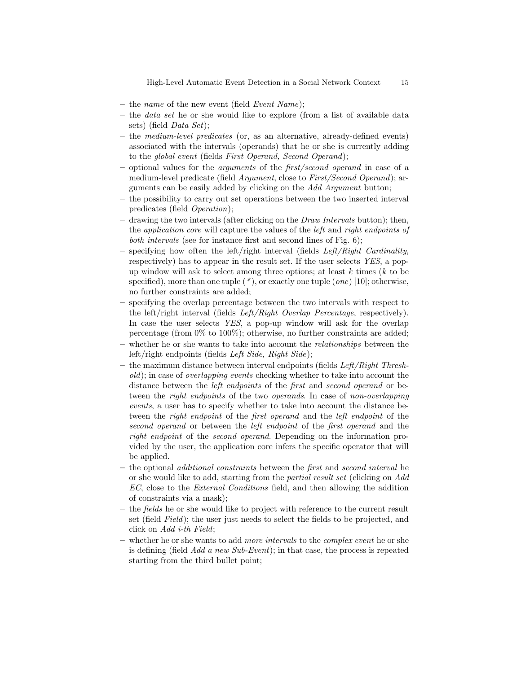- the *name* of the new event (field *Event Name*);
- the data set he or she would like to explore (from a list of available data sets) (field Data Set);
- the medium-level predicates (or, as an alternative, already-defined events) associated with the intervals (operands) that he or she is currently adding to the global event (fields First Operand, Second Operand);
- optional values for the arguments of the first/second operand in case of a medium-level predicate (field Argument, close to First/Second Operand); arguments can be easily added by clicking on the Add Argument button;
- the possibility to carry out set operations between the two inserted interval predicates (field Operation);
- $-$  drawing the two intervals (after clicking on the *Draw Intervals* button); then, the application core will capture the values of the left and right endpoints of both intervals (see for instance first and second lines of Fig. 6);
- specifying how often the left/right interval (fields  $Left/Right$  Cardinality, respectively) has to appear in the result set. If the user selects YES, a popup window will ask to select among three options; at least  $k$  times  $(k$  to be specified), more than one tuple  $(*)$ , or exactly one tuple (*one*) [10]; otherwise, no further constraints are added;
- specifying the overlap percentage between the two intervals with respect to the left/right interval (fields Left/Right Overlap Percentage, respectively). In case the user selects YES, a pop-up window will ask for the overlap percentage (from 0% to 100%); otherwise, no further constraints are added;
- whether he or she wants to take into account the relationships between the left/right endpoints (fields Left Side, Right Side);
- the maximum distance between interval endpoints (fields  $Left/Right$  Threshold); in case of overlapping events checking whether to take into account the distance between the *left endpoints* of the *first* and *second operand* or between the right endpoints of the two operands. In case of non-overlapping events, a user has to specify whether to take into account the distance between the right endpoint of the first operand and the left endpoint of the second operand or between the *left endpoint* of the *first operand* and the right endpoint of the second operand. Depending on the information provided by the user, the application core infers the specific operator that will be applied.
- the optional additional constraints between the first and second interval he or she would like to add, starting from the partial result set (clicking on Add EC, close to the External Conditions field, and then allowing the addition of constraints via a mask);
- the fields he or she would like to project with reference to the current result set (field Field); the user just needs to select the fields to be projected, and click on Add i-th Field;
- whether he or she wants to add more intervals to the complex event he or she is defining (field Add a new Sub-Event); in that case, the process is repeated starting from the third bullet point;